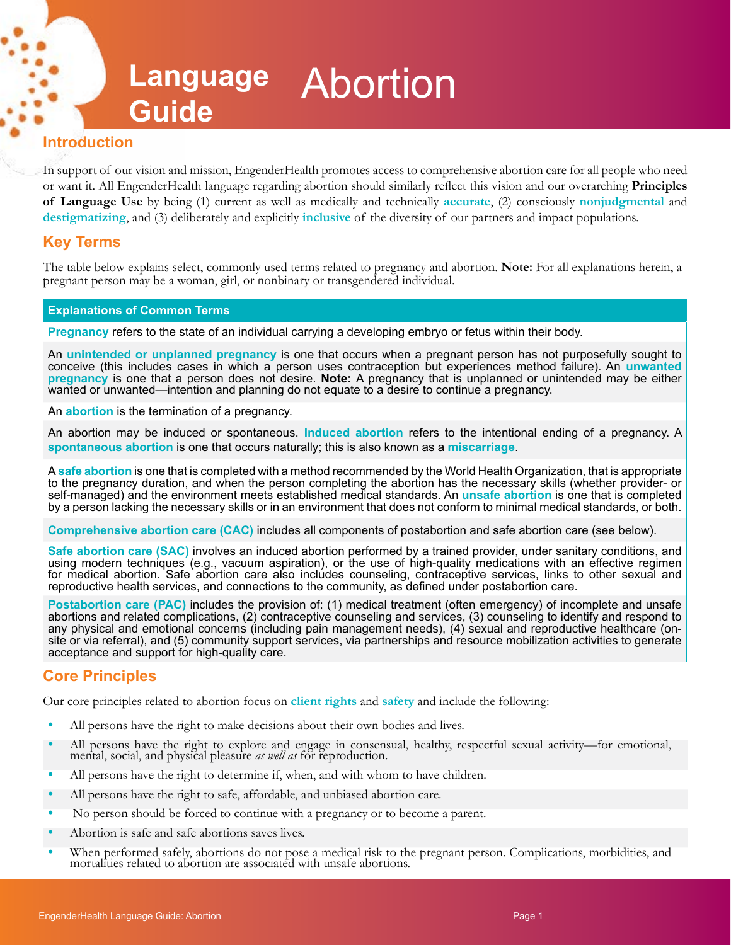# **Language**  Abortion **Guide**

## **Introduction**

In support of our vision and mission, EngenderHealth promotes access to comprehensive abortion care for all people who need or want it. All EngenderHealth language regarding abortion should similarly reflect this vision and our overarching **Principles of Language Use** by being (1) current as well as medically and technically **accurate**, (2) consciously **nonjudgmental** and **destigmatizing**, and (3) deliberately and explicitly **inclusive** of the diversity of our partners and impact populations.

# **Key Terms**

The table below explains select, commonly used terms related to pregnancy and abortion. **Note:** For all explanations herein, a pregnant person may be a woman, girl, or nonbinary or transgendered individual.

#### **Explanations of Common Terms**

**Pregnancy** refers to the state of an individual carrying a developing embryo or fetus within their body.

An **unintended or unplanned pregnancy** is one that occurs when a pregnant person has not purposefully sought to conceive (this includes cases in which a person uses contraception but experiences method failure). An **unwanted pregnancy** is one that a person does not desire. **Note:** A pregnancy that is unplanned or unintended may be either wanted or unwanted—intention and planning do not equate to a desire to continue a pregnancy.

An **abortion** is the termination of a pregnancy.

An abortion may be induced or spontaneous. **Induced abortion** refers to the intentional ending of a pregnancy. A **spontaneous abortion** is one that occurs naturally; this is also known as a **miscarriage**.

A **safe abortion** is one that is completed with a method recommended by the World Health Organization, that is appropriate to the pregnancy duration, and when the person completing the abortion has the necessary skills (whether provider- or self-managed) and the environment meets established medical standards. An **unsafe abortion** is one that is completed by a person lacking the necessary skills or in an environment that does not conform to minimal medical standards, or both.

**Comprehensive abortion care (CAC)** includes all components of postabortion and safe abortion care (see below).

**Safe abortion care (SAC)** involves an induced abortion performed by a trained provider, under sanitary conditions, and using modern techniques (e.g., vacuum aspiration), or the use of high-quality medications with an effective regimen for medical abortion. Safe abortion care also includes counseling, contraceptive services, links to other sexual and reproductive health services, and connections to the community, as defined under postabortion care.

**Postabortion care (PAC)** includes the provision of: (1) medical treatment (often emergency) of incomplete and unsafe abortions and related complications, (2) contraceptive counseling and services, (3) counseling to identify and respond to any physical and emotional concerns (including pain management needs), (4) sexual and reproductive healthcare (onsite or via referral), and (5) community support services, via partnerships and resource mobilization activities to generate acceptance and support for high-quality care.

# **Core Principles**

Our core principles related to abortion focus on **client rights** and **safety** and include the following:

- **•** All persons have the right to make decisions about their own bodies and lives.
- **•** All persons have the right to explore and engage in consensual, healthy, respectful sexual activity—for emotional, mental, social, and physical pleasure *as well as* for reproduction.
- **•** All persons have the right to determine if, when, and with whom to have children.
- **•** All persons have the right to safe, affordable, and unbiased abortion care.
- **•** No person should be forced to continue with a pregnancy or to become a parent.
- **•** Abortion is safe and safe abortions saves lives.
- **•** When performed safely, abortions do not pose a medical risk to the pregnant person. Complications, morbidities, and mortalities related to abortion are associated with unsafe abortions.